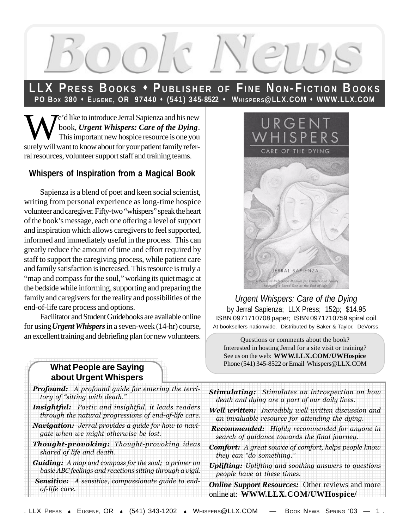

### **LLX PRESS BOOKS \* PUBLISHER OF FINE NON-FICTION BOOKS PO BO X 380** s **EUGENE, OR 97440** s **(541) 345-8522** s **WHISPERS@LLX.COM** s **WWW.LLX.COM**

We'd like to introduce Jerral Sapienza and his new<br>book, *Urgent Whispers: Care of the Dying*.<br>This important new hospice resource is one you book, *Urgent Whispers: Care of the Dying*. This important new hospice resource is one you surely will want to know about for your patient family referral resources, volunteer support staff and training teams.

#### **Whispers of Inspiration from a Magical Book**

Sapienza is a blend of poet and keen social scientist, writing from personal experience as long-time hospice volunteer and caregiver. Fifty-two "whispers" speak the heart of the book's message, each one offering a level of support and inspiration which allows caregivers to feel supported, informed and immediately useful in the process. This can greatly reduce the amount of time and effort required by staff to support the caregiving process, while patient care and family satisfaction is increased. This resource is truly a "map and compass for the soul," working its quiet magic at the bedside while informing, supporting and preparing the family and caregivers for the reality and possibilities of the end-of-life care process and options.

Facilitator and Student Guidebooks are available online for using *Urgent Whispers* in a seven-week (14-hr) course, an excellent training and debriefing plan for new volunteers.

#### **What People are Saying**  $\parallel$  about Urgent Whispers

| <b>Profound:</b> A profound guide for entering the terri-   | <b>Stimulating:</b> Stimulates an introspection on how        |
|-------------------------------------------------------------|---------------------------------------------------------------|
| tory of "sitting with death."                               | death and dying are a part of our daily lives.                |
| Insightful: Poetic and insightful, it leads readers         | Well written: Incredibly well written discussion and          |
| through the natural progressions of end-of-life care.       | an invaluable resource for attending the dying.               |
| <b>Navigation:</b> Jerral provides a guide for how to navi- | <b>Recommended:</b> Highly recommended for anyone in          |
| gate when we might otherwise be lost.                       | search of guidance towards the final journey.                 |
| <b>Thought-provoking:</b> Thought-provoking ideas           | <b>Comfort:</b> A great source of comfort, helps people know  |
| shared of life and death.                                   | they can "do something."                                      |
| <b>Guiding:</b> A map and compass for the soul; a primer on | <b>Uplifting:</b> Uplifting and soothing answers to questions |
| basic ABC feelings and reactions sitting through a vigil.   | people have at these times.                                   |
| Sensitive: A sensitive, compassionate guide to end-         | <b>Online Support Resources:</b> Other reviews and more       |
| of-life care.                                               | online at: WWW.LLX.COM/UWHospice/                             |



*Urgent Whispers: Care of the Dying* by Jerral Sapienza; LLX Press; 152p; \$14.95 ISBN 0971710708 paper; ISBN 0971710759 spiral coil. At booksellers nationwide. Distributed by Baker & Taylor, DeVorss.

Questions or comments about the book? Interested in hosting Jerral for a site visit or training? See us on the web: **WWW.LLX.COM/UWHospice** Phone (541) 345-8522 or Email Whispers@LLX.COM

- 
- 
- tey can "do something."
-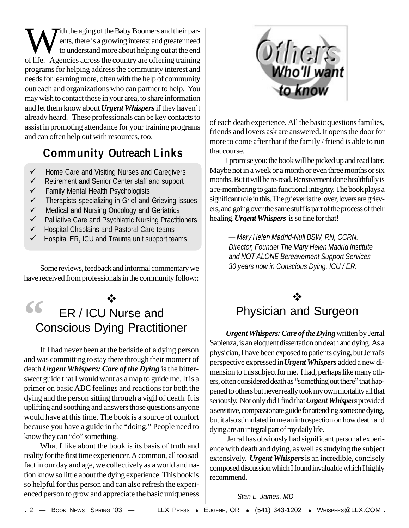With the aging of the Baby Boomers and their par-<br>then the aging of the Baby Boomers and greater need<br>to understand more about helping out at the end<br>of life ents, there is a growing interest and greater need to understand more about helping out at the end of life. Agencies across the country are offering training programs for helping address the community interest and needs for learning more, often with the help of community outreach and organizations who can partner to help. You may wish to contact those in your area, to share information and let them know about *Urgent Whispers* if they haven't already heard. These professionals can be key contacts to assist in promoting attendance for your training programs and can often help out with resources, too.

# **Community Outreach Links**

- $\checkmark$  Home Care and Visiting Nurses and Caregivers
- $\checkmark$  Retirement and Senior Center staff and support
- $\checkmark$  Family Mental Health Psychologists
- $\checkmark$  Therapists specializing in Grief and Grieving issues
- $\checkmark$  Medical and Nursing Oncology and Geriatrics
- $\checkmark$  Palliative Care and Psychiatric Nursing Practitioners
- $\checkmark$  Hospital Chaplains and Pastoral Care teams
- $\checkmark$  Hospital ER, ICU and Trauma unit support teams

Some reviews, feedback and informal commentary we have received from professionals in the community follow::

#### v ER / ICU Nurse and Conscious Dying Practitioner **"**

If I had never been at the bedside of a dying person and was committing to stay there through their moment of death *Urgent Whispers: Care of the Dying* is the bittersweet guide that I would want as a map to guide me. It is a primer on basic ABC feelings and reactions for both the dying and the person sitting through a vigil of death. It is uplifting and soothing and answers those questions anyone would have at this time. The book is a source of comfort because you have a guide in the "doing." People need to know they can "do" something.

What I like about the book is its basis of truth and reality for the first time experiencer. A common, all too sad fact in our day and age, we collectively as a world and nation know so little about the dying experience. This book is so helpful for this person and can also refresh the experienced person to grow and appreciate the basic uniqueness



of each death experience. All the basic questions families, friends and lovers ask are answered. It opens the door for more to come after that if the family / friend is able to run that course.

I promise you: the book will be picked up and read later. Maybe not in a week or a month or even three months or six months. But it will be re-read. Bereavement done healthfully is a re-membering to gain functional integrity. The book plays a significant role in this. The griever is the lover, lovers are grievers, and going over the same stuff is part of the process of their healing. *Urgent Whispers* is so fine for that!

> *— Mary Helen Madrid-Null BSW, RN, CCRN. Director, Founder The Mary Helen Madrid Institute and NOT ALONE Bereavement Support Services 30 years now in Conscious Dying, ICU / ER.*

## $\cdot$ Physician and Surgeon

*Urgent Whispers: Care of the Dying* written by Jerral Sapienza, is an eloquent dissertation on death and dying. As a physician, I have been exposed to patients dying, but Jerral's perspective expressed in *Urgent Whispers* added a new dimension to this subject for me. I had, perhaps like many others, often considered death as "something out there" that happened to others but never really took my own mortality all that seriously. Not only did I find that *Urgent Whispers* provided a sensitive, compassionate guide for attending someone dying, but it also stimulated in me an introspection on how death and dying are an integral part of my daily life.

 Jerral has obviously had significant personal experience with death and dying, as well as studying the subject extensively. *Urgent Whispers* is an incredible, concisely composed discussion which I found invaluable which I highly recommend.

#### *— Stan L. James, MD*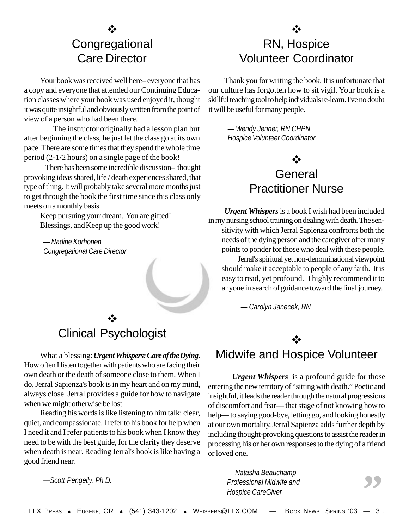# v **Congregational** Care Director

Your book was received well here– everyone that has a copy and everyone that attended our Continuing Education classes where your book was used enjoyed it, thought it was quite insightful and obviously written from the point of view of a person who had been there.

 ... The instructor originally had a lesson plan but after beginning the class, he just let the class go at its own pace. There are some times that they spend the whole time period (2-1/2 hours) on a single page of the book!

 There has been some incredible discussion– thought provoking ideas shared, life / death experiences shared, that type of thing. It will probably take several more months just to get through the book the first time since this class only meets on a monthly basis.

Keep pursuing your dream. You are gifted! Blessings, and Keep up the good work!

*— Nadine Korhonen Congregational Care Director*

### v Clinical Psychologist

What a blessing: *Urgent Whispers: Care of the Dying*. How often I listen together with patients who are facing their own death or the death of someone close to them. When I do, Jerral Sapienza's book is in my heart and on my mind, always close. Jerral provides a guide for how to navigate when we might otherwise be lost.

Reading his words is like listening to him talk: clear, quiet, and compassionate. I refer to his book for help when I need it and I refer patients to his book when I know they need to be with the best guide, for the clarity they deserve when death is near. Reading Jerral's book is like having a good friend near.

*—Scott Pengelly, Ph.D.*

# RN, Hospice Volunteer Coordinator

Thank you for writing the book. It is unfortunate that our culture has forgotten how to sit vigil. Your book is a skillful teaching tool to help individuals re-learn. I've no doubt it will be useful for many people.

> *— Wendy Jenner, RN CHPN Hospice Volunteer Coordinator*

## v **General** Practitioner Nurse

*Urgent Whispers* is a book I wish had been included in my nursing school training on dealing with death. The sensitivity with which Jerral Sapienza confronts both the needs of the dying person and the caregiver offer many points to ponder for those who deal with these people.

Jerral's spiritual yet non-denominational viewpoint should make it acceptable to people of any faith. It is easy to read, yet profound. I highly recommend it to anyone in search of guidance toward the final journey.

*— Carolyn Janecek, RN*

### v

### Midwife and Hospice Volunteer

 *Urgent Whispers* is a profound guide for those entering the new territory of "sitting with death." Poetic and insightful, it leads the reader through the natural progressions of discomfort and fear— that stage of not knowing how to help— to saying good-bye, letting go, and looking honestly at our own mortality. Jerral Sapienza adds further depth by including thought-provoking questions to assist the reader in processing his or her own responses to the dying of a friend or loved one.

> *— Natasha Beauchamp Professional Midwife and Hospice CareGiver*